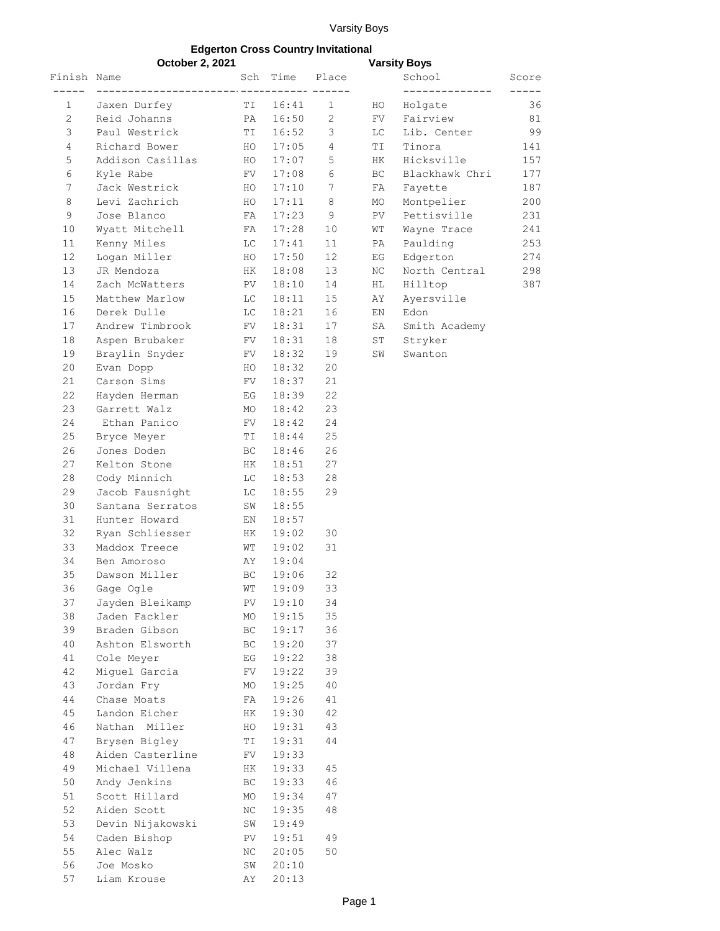## Varsity Boys

## **Edgerton Cross Country Invitational**

|                | October 2, 2021  |            |                |                | <b>Varsity Boys</b> |                |             |
|----------------|------------------|------------|----------------|----------------|---------------------|----------------|-------------|
| Finish Name    |                  |            | Sch Time Place |                |                     | School         | Score       |
|                |                  |            |                |                |                     | ______________ | $- - - - -$ |
| 1              | Jaxen Durfey     |            | TI 16:41       | 1              | HO                  | Holgate        | 36          |
| $\overline{2}$ | Reid Johanns     | PA         | 16:50          | 2              | FV                  | Fairview       | 81          |
| 3              | Paul Westrick    | TI         | 16:52          | 3              | LC                  | Lib. Center    | 99          |
| 4              | Richard Bower    | HO         | 17:05          | $\overline{4}$ | TI                  | Tinora         | 141         |
| 5              | Addison Casillas | HO         | 17:07          | 5              | HK                  | Hicksville     | 157         |
| 6              | Kyle Rabe        | FV         | 17:08          | 6              | BC                  | Blackhawk Chri | 177         |
| 7              | Jack Westrick    | HO         | 17:10          | 7              | FA                  | Fayette        | 187         |
| 8              | Levi Zachrich    | HO         | 17:11          | 8              | MO                  | Montpelier     | 200         |
| 9              | Jose Blanco      | FA         | 17:23          | 9              | PV                  | Pettisville    | 231         |
| 10             | Wyatt Mitchell   | FA         | 17:28          | 10             | WT                  | Wayne Trace    | 241         |
| 11             | Kenny Miles      | LC         | 17:41          | 11             | PA                  | Paulding       | 253         |
| 12             | Logan Miller     | HO         | 17:50          | 12             | EG                  | Edgerton       | 274         |
| 13             | JR Mendoza       | HK         | 18:08          | 13             | ΝC                  | North Central  | 298         |
| 14             | Zach McWatters   | PV         | 18:10          | 14             | HL                  | Hilltop        | 387         |
| 15             | Matthew Marlow   | LC.        | 18:11          | 15             | AY                  | Ayersville     |             |
| 16             | Derek Dulle      | LC         | 18:21          | 16             | EN                  | Edon           |             |
| 17             | Andrew Timbrook  | ${\rm FV}$ | 18:31          | 17             | SA                  | Smith Academy  |             |
| 18             | Aspen Brubaker   | FV         | 18:31          | 18             | ST                  | Stryker        |             |
| 19             | Braylin Snyder   | FV         | 18:32          | 19             | SW                  | Swanton        |             |
| 20             | Evan Dopp        | HO         | 18:32          | 20             |                     |                |             |
| 21             | Carson Sims      | FV.        | 18:37          | 21             |                     |                |             |
| 22             | Hayden Herman    | EG         | 18:39          | 22             |                     |                |             |
| 23             | Garrett Walz     | MO         | 18:42          | 23             |                     |                |             |
| 24             | Ethan Panico     | FV         | 18:42          | 24             |                     |                |             |
| 25             | Bryce Meyer      | TΙ         | 18:44          | 25             |                     |                |             |
| 26             | Jones Doden      |            | 18:46          | 26             |                     |                |             |
|                |                  | BC.        |                |                |                     |                |             |
| 27             | Kelton Stone     | HK         | 18:51          | 27             |                     |                |             |
| 28             | Cody Minnich     | LC         | 18:53          | 28             |                     |                |             |
| 29             | Jacob Fausnight  | LC         | 18:55          | 29             |                     |                |             |
| 30             | Santana Serratos | SW         | 18:55          |                |                     |                |             |
| 31             | Hunter Howard    | EN         | 18:57          |                |                     |                |             |
| 32             | Ryan Schliesser  | НK         | 19:02          | 30             |                     |                |             |
| 33             | Maddox Treece    | WТ         | 19:02          | 31             |                     |                |             |
| 34             | Ben Amoroso      | AY         | 19:04          |                |                     |                |             |
| 35             | Dawson Miller    | ВC         | 19:06          | 32             |                     |                |             |
| 36             | Gage Ogle        | WT         | 19:09          | 33             |                     |                |             |
| 37             | Jayden Bleikamp  | PV         | 19:10          | 34             |                     |                |             |
| 38             | Jaden Fackler    | МO         | 19:15          | 35             |                     |                |             |
| 39             | Braden Gibson    | ВC         | 19:17          | 36             |                     |                |             |
| 40             | Ashton Elsworth  | ВC         | 19:20          | 37             |                     |                |             |
| 41             | Cole Meyer       | ΕG         | 19:22          | 38             |                     |                |             |
| 42             | Miguel Garcia    | FV         | 19:22          | 39             |                     |                |             |
| 43             | Jordan Fry       | МO         | 19:25          | 40             |                     |                |             |
| 44             | Chase Moats      | FA         | 19:26          | 41             |                     |                |             |
| 45             | Landon Eicher    | HK         | 19:30          | 42             |                     |                |             |
| 46             | Nathan Miller    | HO         | 19:31          | 43             |                     |                |             |
| 47             | Brysen Bigley    | ΤI         | 19:31          | 44             |                     |                |             |
| 48             | Aiden Casterline | FV         | 19:33          |                |                     |                |             |
| 49             | Michael Villena  | НK         | 19:33          | 45             |                     |                |             |
| 50             | Andy Jenkins     | ВC         | 19:33          | 46             |                     |                |             |
| 51             | Scott Hillard    | МO         | 19:34          | 47             |                     |                |             |
| 52             | Aiden Scott      | ΝC         | 19:35          | 48             |                     |                |             |
| 53             | Devin Nijakowski | SW         | 19:49          |                |                     |                |             |
| 54             | Caden Bishop     | PV         | 19:51          | 49             |                     |                |             |
| 55             | Alec Walz        | ΝC         | 20:05          | 50             |                     |                |             |
| 56             | Joe Mosko        | SW         | 20:10          |                |                     |                |             |
| 57             | Liam Krouse      | ΑY         | 20:13          |                |                     |                |             |
|                |                  |            |                |                |                     |                |             |